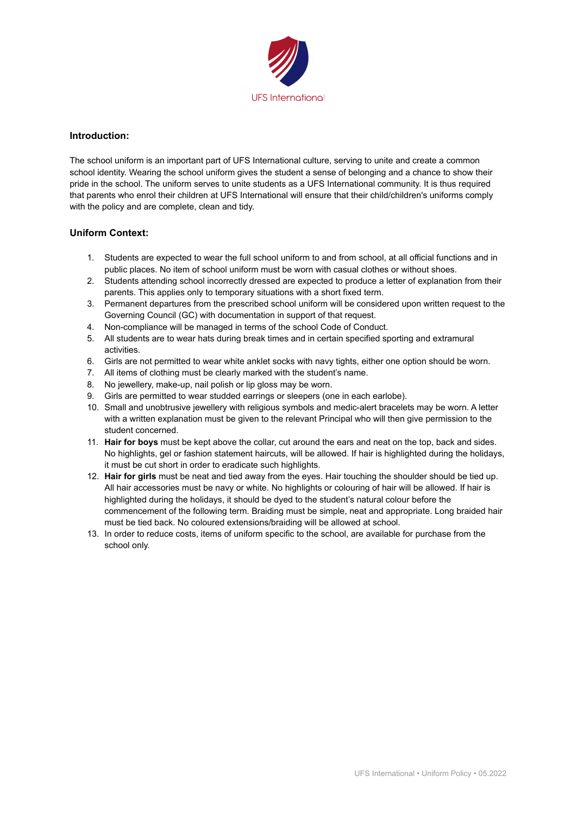

## **Introduction:**

The school uniform is an important part of UFS International culture, serving to unite and create a common school identity. Wearing the school uniform gives the student a sense of belonging and a chance to show their pride in the school. The uniform serves to unite students as a UFS International community. It is thus required that parents who enrol their children at UFS International will ensure that their child/children's uniforms comply with the policy and are complete, clean and tidy.

## **Uniform Context:**

- 1. Students are expected to wear the full school uniform to and from school, at all official functions and in public places. No item of school uniform must be worn with casual clothes or without shoes.
- 2. Students attending school incorrectly dressed are expected to produce a letter of explanation from their parents. This applies only to temporary situations with a short fixed term.
- 3. Permanent departures from the prescribed school uniform will be considered upon written request to the Governing Council (GC) with documentation in support of that request.
- 4. Non-compliance will be managed in terms of the school Code of Conduct.
- 5. All students are to wear hats during break times and in certain specified sporting and extramural activities.
- 6. Girls are not permitted to wear white anklet socks with navy tights, either one option should be worn.
- 7. All items of clothing must be clearly marked with the student's name.
- 8. No jewellery, make-up, nail polish or lip gloss may be worn.
- 9. Girls are permitted to wear studded earrings or sleepers (one in each earlobe).
- 10. Small and unobtrusive jewellery with religious symbols and medic-alert bracelets may be worn. A letter with a written explanation must be given to the relevant Principal who will then give permission to the student concerned.
- 11. **Hair for boys** must be kept above the collar, cut around the ears and neat on the top, back and sides. No highlights, gel or fashion statement haircuts, will be allowed. If hair is highlighted during the holidays, it must be cut short in order to eradicate such highlights.
- 12. **Hair for girls** must be neat and tied away from the eyes. Hair touching the shoulder should be tied up. All hair accessories must be navy or white. No highlights or colouring of hair will be allowed. If hair is highlighted during the holidays, it should be dyed to the student's natural colour before the commencement of the following term. Braiding must be simple, neat and appropriate. Long braided hair must be tied back. No coloured extensions/braiding will be allowed at school.
- 13. In order to reduce costs, items of uniform specific to the school, are available for purchase from the school only.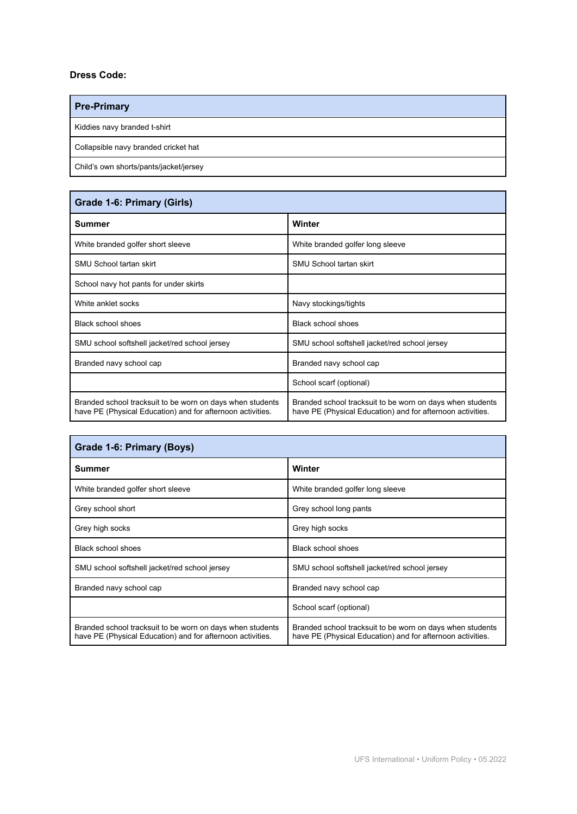## **Dress Code:**

f

| <b>Pre-Primary</b>                     |
|----------------------------------------|
| Kiddies navy branded t-shirt           |
| Collapsible navy branded cricket hat   |
| Child's own shorts/pants/jacket/jersey |

| Grade 1-6: Primary (Girls)                                                                                              |                                                                                                                         |  |
|-------------------------------------------------------------------------------------------------------------------------|-------------------------------------------------------------------------------------------------------------------------|--|
| Summer                                                                                                                  | Winter                                                                                                                  |  |
| White branded golfer short sleeve                                                                                       | White branded golfer long sleeve                                                                                        |  |
| <b>SMU School tartan skirt</b>                                                                                          | SMU School tartan skirt                                                                                                 |  |
| School navy hot pants for under skirts                                                                                  |                                                                                                                         |  |
| White anklet socks                                                                                                      | Navy stockings/tights                                                                                                   |  |
| <b>Black school shoes</b>                                                                                               | <b>Black school shoes</b>                                                                                               |  |
| SMU school softshell jacket/red school jersey                                                                           | SMU school softshell jacket/red school jersey                                                                           |  |
| Branded navy school cap                                                                                                 | Branded navy school cap                                                                                                 |  |
|                                                                                                                         | School scarf (optional)                                                                                                 |  |
| Branded school tracksuit to be worn on days when students<br>have PE (Physical Education) and for afternoon activities. | Branded school tracksuit to be worn on days when students<br>have PE (Physical Education) and for afternoon activities. |  |

| Grade 1-6: Primary (Boys)                                                                                               |                                                                                                                         |  |
|-------------------------------------------------------------------------------------------------------------------------|-------------------------------------------------------------------------------------------------------------------------|--|
| <b>Summer</b>                                                                                                           | Winter                                                                                                                  |  |
| White branded golfer short sleeve                                                                                       | White branded golfer long sleeve                                                                                        |  |
| Grey school short                                                                                                       | Grey school long pants                                                                                                  |  |
| Grey high socks                                                                                                         | Grey high socks                                                                                                         |  |
| Black school shoes                                                                                                      | Black school shoes                                                                                                      |  |
| SMU school softshell jacket/red school jersey                                                                           | SMU school softshell jacket/red school jersey                                                                           |  |
| Branded navy school cap                                                                                                 | Branded navy school cap                                                                                                 |  |
|                                                                                                                         | School scarf (optional)                                                                                                 |  |
| Branded school tracksuit to be worn on days when students<br>have PE (Physical Education) and for afternoon activities. | Branded school tracksuit to be worn on days when students<br>have PE (Physical Education) and for afternoon activities. |  |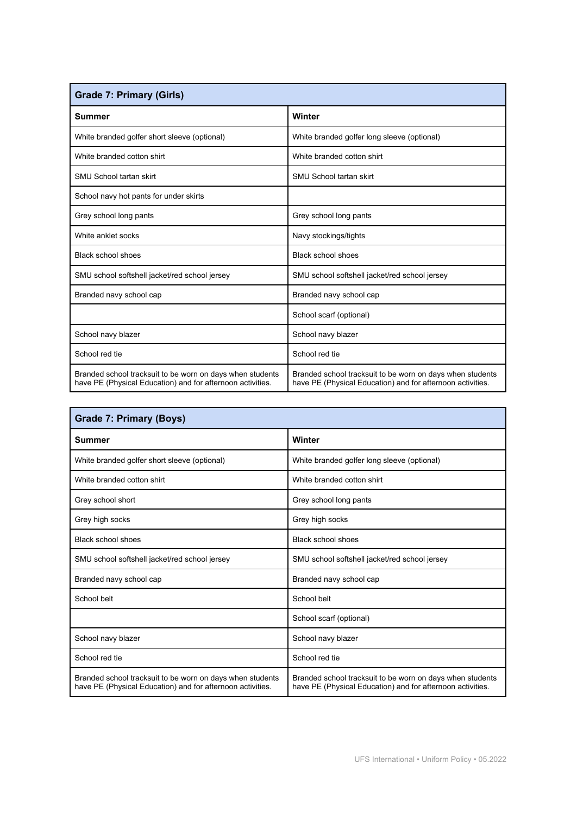| <b>Grade 7: Primary (Girls)</b>                                                                                         |                                                                                                                         |  |
|-------------------------------------------------------------------------------------------------------------------------|-------------------------------------------------------------------------------------------------------------------------|--|
| Summer                                                                                                                  | Winter                                                                                                                  |  |
| White branded golfer short sleeve (optional)                                                                            | White branded golfer long sleeve (optional)                                                                             |  |
| White branded cotton shirt                                                                                              | White branded cotton shirt                                                                                              |  |
| SMU School tartan skirt                                                                                                 | SMU School tartan skirt                                                                                                 |  |
| School navy hot pants for under skirts                                                                                  |                                                                                                                         |  |
| Grey school long pants                                                                                                  | Grey school long pants                                                                                                  |  |
| White anklet socks                                                                                                      | Navy stockings/tights                                                                                                   |  |
| <b>Black school shoes</b>                                                                                               | Black school shoes                                                                                                      |  |
| SMU school softshell jacket/red school jersey                                                                           | SMU school softshell jacket/red school jersey                                                                           |  |
| Branded navy school cap                                                                                                 | Branded navy school cap                                                                                                 |  |
|                                                                                                                         | School scarf (optional)                                                                                                 |  |
| School navy blazer                                                                                                      | School navy blazer                                                                                                      |  |
| School red tie                                                                                                          | School red tie                                                                                                          |  |
| Branded school tracksuit to be worn on days when students<br>have PE (Physical Education) and for afternoon activities. | Branded school tracksuit to be worn on days when students<br>have PE (Physical Education) and for afternoon activities. |  |

| Grade 7: Primary (Boys)                                                                                                 |                                                                                                                         |  |
|-------------------------------------------------------------------------------------------------------------------------|-------------------------------------------------------------------------------------------------------------------------|--|
| Summer                                                                                                                  | Winter                                                                                                                  |  |
| White branded golfer short sleeve (optional)                                                                            | White branded golfer long sleeve (optional)                                                                             |  |
| White branded cotton shirt                                                                                              | White branded cotton shirt                                                                                              |  |
| Grey school short                                                                                                       | Grey school long pants                                                                                                  |  |
| Grey high socks                                                                                                         | Grey high socks                                                                                                         |  |
| Black school shoes                                                                                                      | Black school shoes                                                                                                      |  |
| SMU school softshell jacket/red school jersey                                                                           | SMU school softshell jacket/red school jersey                                                                           |  |
| Branded navy school cap                                                                                                 | Branded navy school cap                                                                                                 |  |
| School belt                                                                                                             | School belt                                                                                                             |  |
|                                                                                                                         | School scarf (optional)                                                                                                 |  |
| School navy blazer                                                                                                      | School navy blazer                                                                                                      |  |
| School red tie                                                                                                          | School red tie                                                                                                          |  |
| Branded school tracksuit to be worn on days when students<br>have PE (Physical Education) and for afternoon activities. | Branded school tracksuit to be worn on days when students<br>have PE (Physical Education) and for afternoon activities. |  |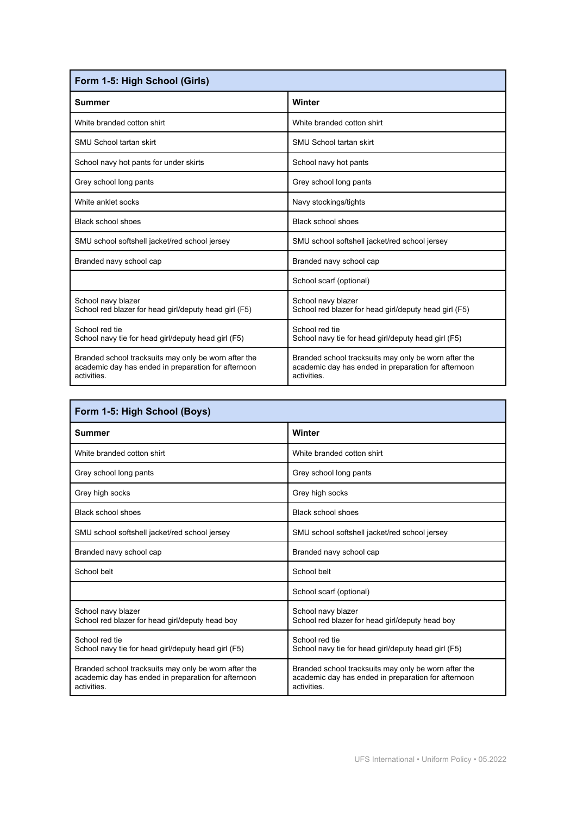| Form 1-5: High School (Girls)                                                                                              |                                                                                                                            |  |
|----------------------------------------------------------------------------------------------------------------------------|----------------------------------------------------------------------------------------------------------------------------|--|
| Summer                                                                                                                     | Winter                                                                                                                     |  |
| White branded cotton shirt                                                                                                 | White branded cotton shirt                                                                                                 |  |
| SMU School tartan skirt                                                                                                    | SMU School tartan skirt                                                                                                    |  |
| School navy hot pants for under skirts                                                                                     | School navy hot pants                                                                                                      |  |
| Grey school long pants                                                                                                     | Grey school long pants                                                                                                     |  |
| White anklet socks                                                                                                         | Navy stockings/tights                                                                                                      |  |
| Black school shoes                                                                                                         | Black school shoes                                                                                                         |  |
| SMU school softshell jacket/red school jersey                                                                              | SMU school softshell jacket/red school jersey                                                                              |  |
| Branded navy school cap                                                                                                    | Branded navy school cap                                                                                                    |  |
|                                                                                                                            | School scarf (optional)                                                                                                    |  |
| School navy blazer<br>School red blazer for head girl/deputy head girl (F5)                                                | School navy blazer<br>School red blazer for head girl/deputy head girl (F5)                                                |  |
| School red tie<br>School navy tie for head girl/deputy head girl (F5)                                                      | School red tie<br>School navy tie for head girl/deputy head girl (F5)                                                      |  |
| Branded school tracksuits may only be worn after the<br>academic day has ended in preparation for afternoon<br>activities. | Branded school tracksuits may only be worn after the<br>academic day has ended in preparation for afternoon<br>activities. |  |

| Form 1-5: High School (Boys)                                                                                               |                                                                                                                           |  |
|----------------------------------------------------------------------------------------------------------------------------|---------------------------------------------------------------------------------------------------------------------------|--|
| Summer                                                                                                                     | Winter                                                                                                                    |  |
| White branded cotton shirt                                                                                                 | White branded cotton shirt                                                                                                |  |
| Grey school long pants                                                                                                     | Grey school long pants                                                                                                    |  |
| Grey high socks                                                                                                            | Grey high socks                                                                                                           |  |
| Black school shoes                                                                                                         | <b>Black school shoes</b>                                                                                                 |  |
| SMU school softshell jacket/red school jersey                                                                              | SMU school softshell jacket/red school jersey                                                                             |  |
| Branded navy school cap                                                                                                    | Branded navy school cap                                                                                                   |  |
| School belt                                                                                                                | School belt                                                                                                               |  |
|                                                                                                                            | School scarf (optional)                                                                                                   |  |
| School navy blazer<br>School red blazer for head girl/deputy head boy                                                      | School navy blazer<br>School red blazer for head girl/deputy head boy                                                     |  |
| School red tie<br>School navy tie for head girl/deputy head girl (F5)                                                      | School red tie<br>School navy tie for head girl/deputy head girl (F5)                                                     |  |
| Branded school tracksuits may only be worn after the<br>academic day has ended in preparation for afternoon<br>activities. | Branded school tracksuits may only be worn after the<br>academic day has ended in preparation for afternoon<br>activities |  |